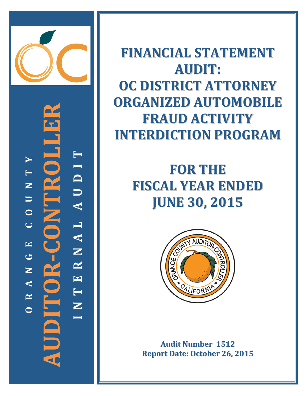

**AUDITOR-CONTROLLER I N T E R N A L A U D I T**  $\blacktriangleright$ **O R A N G E C O U N T Y** AUDI  $\blacksquare$ P Z E  $\begin{array}{c}\n\hline\n\end{array}$  $\bullet$  $\mathbf{Z}$  $\overline{C}$ RNAL  $\mathbf{Q} = \mathbf{C} \mathbf{I}$  $\boxed{\phantom{1}}$  $\bullet$  $\mathbf{z}$  $\mathbf{H}$  $\blacktriangleleft$ Ë  $\mathbf{\underline{\underline{\mathsf{K}}}}$ Z  $\overline{\mathbf{C}}$ 

FINANCIAL STATEMENT **A U D I T : OC DISTRICT ATTORNEY ORGANIZED AUTOMOBILE FRAUD ACTIVITY** INTERDICTION PROGRAM

> **FOR THE FISCAL YEAR ENDED J U N E 3 0 , 2 0 1 5**



Audit Number 1512 **Report Date: October 26, 2015**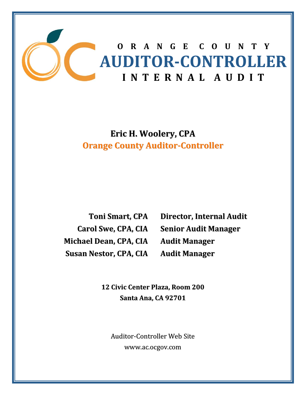

**Eric H. Woolery, CPA Orange County Auditor‐Controller**

**Toni Smart, CPA Carol Swe, CPA, CIA Michael Dean, CPA, CIA Susan Nestor, CPA, CIA**

**Director, Internal Audit Senior Audit Manager Audit Manager Audit Manager**

**12 Civic Center Plaza, Room 200 Santa Ana, CA 92701**

Auditor‐Controller Web Site www.ac.ocgov.com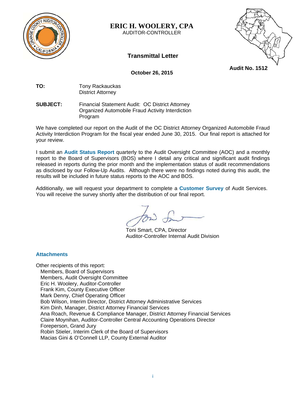

**ERIC H. WOOLERY, CPA** 

AUDITOR-CONTROLLER



**Transmittal Letter** 

**Audit No. 1512** 

 **October 26, 2015** 

**TO:** Tony Rackauckas District Attorney

#### **SUBJECT:** Financial Statement Audit: OC District Attorney Organized Automobile Fraud Activity Interdiction Program

We have completed our report on the Audit of the OC District Attorney Organized Automobile Fraud Activity Interdiction Program for the fiscal year ended June 30, 2015. Our final report is attached for your review.

I submit an **Audit Status Report** quarterly to the Audit Oversight Committee (AOC) and a monthly report to the Board of Supervisors (BOS) where I detail any critical and significant audit findings released in reports during the prior month and the implementation status of audit recommendations as disclosed by our Follow-Up Audits. Although there were no findings noted during this audit, the results will be included in future status reports to the AOC and BOS.

Additionally, we will request your department to complete a **Customer Survey** of Audit Services. You will receive the survey shortly after the distribution of our final report.

Toni Smart, CPA, Director Auditor-Controller Internal Audit Division

#### **Attachments**

Other recipients of this report: Members, Board of Supervisors Members, Audit Oversight Committee Eric H. Woolery, Auditor-Controller Frank Kim, County Executive Officer Mark Denny, Chief Operating Officer Bob Wilson, Interim Director, District Attorney Administrative Services Kim Dinh, Manager, District Attorney Financial Services Ana Roach, Revenue & Compliance Manager, District Attorney Financial Services Claire Moynihan, Auditor-Controller Central Accounting Operations Director Foreperson, Grand Jury Robin Stieler, Interim Clerk of the Board of Supervisors Macias Gini & O'Connell LLP, County External Auditor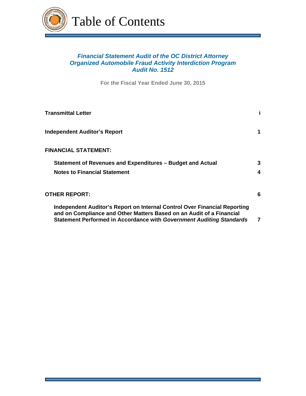

Table of Contents

# *Financial Statement Audit of the OC District Attorney Organized Automobile Fraud Activity Interdiction Program Audit No. 1512*

**For the Fiscal Year Ended June 30, 2015**

| <b>Transmittal Letter</b>                                                                                                                           |   |
|-----------------------------------------------------------------------------------------------------------------------------------------------------|---|
| <b>Independent Auditor's Report</b>                                                                                                                 |   |
| <b>FINANCIAL STATEMENT:</b>                                                                                                                         |   |
| Statement of Revenues and Expenditures - Budget and Actual                                                                                          | 3 |
| <b>Notes to Financial Statement</b>                                                                                                                 | 4 |
| OTHER REPORT:                                                                                                                                       | 6 |
| Independent Auditor's Report on Internal Control Over Financial Reporting                                                                           |   |
| and on Compliance and Other Matters Based on an Audit of a Financial<br><b>Statement Performed in Accordance with Government Auditing Standards</b> | 7 |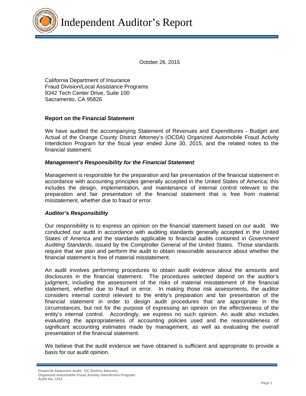

October 26, 2015

California Department of Insurance Fraud Division/Local Assistance Programs 9342 Tech Center Drive, Suite 100 Sacramento, CA 95826

#### **Report on the Financial Statement**

We have audited the accompanying Statement of Revenues and Expenditures - Budget and Actual of the Orange County District Attorney's (OCDA) Organized Automobile Fraud Activity Interdiction Program for the fiscal year ended June 30, 2015, and the related notes to the financial statement.

#### *Management's Responsibility for the Financial Statement*

Management is responsible for the preparation and fair presentation of the financial statement in accordance with accounting principles generally accepted in the United States of America; this includes the design, implementation, and maintenance of internal control relevant to the preparation and fair presentation of the financial statement that is free from material misstatement, whether due to fraud or error.

#### *Auditor's Responsibility*

Our responsibility is to express an opinion on the financial statement based on our audit. We conducted our audit in accordance with auditing standards generally accepted in the United States of America and the standards applicable to financial audits contained in *Government Auditing Standards*, issued by the Comptroller General of the United States. Those standards require that we plan and perform the audit to obtain reasonable assurance about whether the financial statement is free of material misstatement.

An audit involves performing procedures to obtain audit evidence about the amounts and disclosures in the financial statement. The procedures selected depend on the auditor's judgment, including the assessment of the risks of material misstatement of the financial statement, whether due to fraud or error. In making those risk assessments, the auditor considers internal control relevant to the entity's preparation and fair presentation of the financial statement in order to design audit procedures that are appropriate in the circumstances, but not for the purpose of expressing an opinion on the effectiveness of the entity's internal control. Accordingly, we express no such opinion. An audit also includes evaluating the appropriateness of accounting policies used and the reasonableness of significant accounting estimates made by management, as well as evaluating the overall presentation of the financial statement.

We believe that the audit evidence we have obtained is sufficient and appropriate to provide a basis for our audit opinion.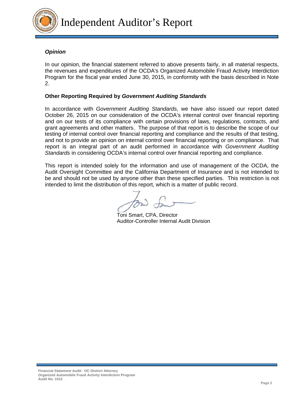

# *Opinion*

In our opinion, the financial statement referred to above presents fairly, in all material respects, the revenues and expenditures of the OCDA's Organized Automobile Fraud Activity Interdiction Program for the fiscal year ended June 30, 2015, in conformity with the basis described in Note 2.

### **Other Reporting Required by** *Government Auditing Standards*

In accordance with *Government Auditing Standards*, we have also issued our report dated October 26, 2015 on our consideration of the OCDA's internal control over financial reporting and on our tests of its compliance with certain provisions of laws, regulations, contracts, and grant agreements and other matters. The purpose of that report is to describe the scope of our testing of internal control over financial reporting and compliance and the results of that testing, and not to provide an opinion on internal control over financial reporting or on compliance. That report is an integral part of an audit performed in accordance with *Government Auditing Standards* in considering OCDA's internal control over financial reporting and compliance.

This report is intended solely for the information and use of management of the OCDA, the Audit Oversight Committee and the California Department of Insurance and is not intended to be and should not be used by anyone other than these specified parties. This restriction is not intended to limit the distribution of this report, which is a matter of public record.

 Toni Smart, CPA, Director Auditor-Controller Internal Audit Division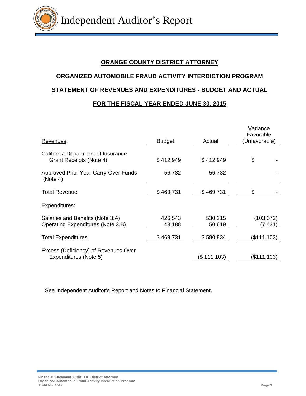# **ORANGE COUNTY DISTRICT ATTORNEY**

# **ORGANIZED AUTOMOBILE FRAUD ACTIVITY INTERDICTION PROGRAM STATEMENT OF REVENUES AND EXPENDITURES - BUDGET AND ACTUAL FOR THE FISCAL YEAR ENDED JUNE 30, 2015**

| Revenues:                                                             | <b>Budget</b>     | Actual            | Variance<br>Favorable<br>Unfavorable) |
|-----------------------------------------------------------------------|-------------------|-------------------|---------------------------------------|
| California Department of Insurance<br>Grant Receipts (Note 4)         | \$412,949         | \$412,949         | \$                                    |
| Approved Prior Year Carry-Over Funds<br>(Note 4)                      | 56,782            | 56,782            |                                       |
| <b>Total Revenue</b>                                                  | \$469,731         | \$469,731         | \$                                    |
| Expenditures:                                                         |                   |                   |                                       |
| Salaries and Benefits (Note 3.A)<br>Operating Expenditures (Note 3.B) | 426,543<br>43,188 | 530,215<br>50,619 | (103, 672)<br>(7, 431)                |
| Total Expenditures                                                    | \$469,731         | \$580,834         | (\$111, 103)                          |
| Excess (Deficiency) of Revenues Over<br>Expenditures (Note 5)         |                   | (\$ 111,103)      | (\$111,103)                           |

See Independent Auditor's Report and Notes to Financial Statement.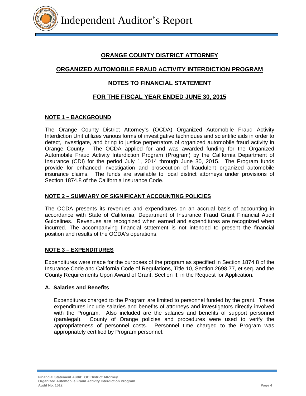

# **ORANGE COUNTY DISTRICT ATTORNEY**

# **ORGANIZED AUTOMOBILE FRAUD ACTIVITY INTERDICTION PROGRAM**

# **NOTES TO FINANCIAL STATEMENT**

# **FOR THE FISCAL YEAR ENDED JUNE 30, 2015**

#### **NOTE 1 – BACKGROUND**

The Orange County District Attorney's (OCDA) Organized Automobile Fraud Activity Interdiction Unit utilizes various forms of investigative techniques and scientific aids in order to detect, investigate, and bring to justice perpetrators of organized automobile fraud activity in Orange County. The OCDA applied for and was awarded funding for the Organized Automobile Fraud Activity Interdiction Program (Program) by the California Department of Insurance (CDI) for the period July 1, 2014 through June 30, 2015. The Program funds provide for enhanced investigation and prosecution of fraudulent organized automobile insurance claims. The funds are available to local district attorneys under provisions of Section 1874.8 of the California Insurance Code.

#### **NOTE 2 – SUMMARY OF SIGNIFICANT ACCOUNTING POLICIES**

The OCDA presents its revenues and expenditures on an accrual basis of accounting in accordance with State of California, Department of Insurance Fraud Grant Financial Audit Guidelines. Revenues are recognized when earned and expenditures are recognized when incurred. The accompanying financial statement is not intended to present the financial position and results of the OCDA's operations.

#### **NOTE 3 – EXPENDITURES**

Expenditures were made for the purposes of the program as specified in Section 1874.8 of the Insurance Code and California Code of Regulations, Title 10, Section 2698.77, et seq. and the County Requirements Upon Award of Grant, Section II, in the Request for Application.

#### **A. Salaries and Benefits**

 Expenditures charged to the Program are limited to personnel funded by the grant. These expenditures include salaries and benefits of attorneys and investigators directly involved with the Program. Also included are the salaries and benefits of support personnel (paralegal). County of Orange policies and procedures were used to verify the appropriateness of personnel costs. Personnel time charged to the Program was appropriately certified by Program personnel.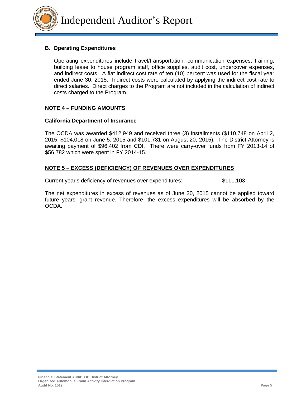#### **B. Operating Expenditures**

 Operating expenditures include travel/transportation, communication expenses, training, building lease to house program staff, office supplies, audit cost, undercover expenses, and indirect costs. A flat indirect cost rate of ten (10) percent was used for the fiscal year ended June 30, 2015. Indirect costs were calculated by applying the indirect cost rate to direct salaries. Direct charges to the Program are not included in the calculation of indirect costs charged to the Program.

#### **NOTE 4 – FUNDING AMOUNTS**

#### **California Department of Insurance**

The OCDA was awarded \$412,949 and received three (3) installments (\$110,748 on April 2, 2015, \$104,018 on June 5, 2015 and \$101,781 on August 20, 2015). The District Attorney is awaiting payment of \$96,402 from CDI. There were carry-over funds from FY 2013-14 of \$56,782 which were spent in FY 2014-15.

#### **NOTE 5 – EXCESS (DEFICIENCY) OF REVENUES OVER EXPENDITURES**

Current year's deficiency of revenues over expenditures: \$111,103

The net expenditures in excess of revenues as of June 30, 2015 cannot be applied toward future years' grant revenue. Therefore, the excess expenditures will be absorbed by the OCDA.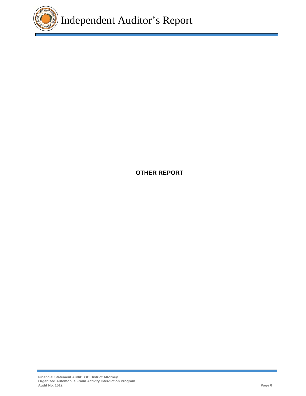

**OTHER REPORT**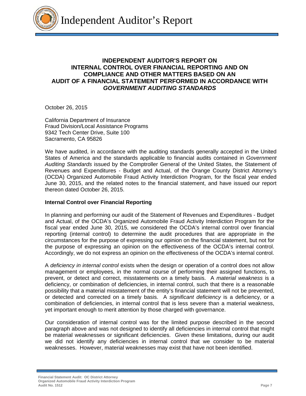

# **INDEPENDENT AUDITOR'S REPORT ON INTERNAL CONTROL OVER FINANCIAL REPORTING AND ON COMPLIANCE AND OTHER MATTERS BASED ON AN AUDIT OF A FINANCIAL STATEMENT PERFORMED IN ACCORDANCE WITH**  *GOVERNMENT AUDITING STANDARDS*

October 26, 2015

California Department of Insurance Fraud Division/Local Assistance Programs 9342 Tech Center Drive, Suite 100 Sacramento, CA 95826

We have audited, in accordance with the auditing standards generally accepted in the United States of America and the standards applicable to financial audits contained in *Government Auditing Standards* issued by the Comptroller General of the United States, the Statement of Revenues and Expenditures - Budget and Actual, of the Orange County District Attorney's (OCDA) Organized Automobile Fraud Activity Interdiction Program, for the fiscal year ended June 30, 2015, and the related notes to the financial statement, and have issued our report thereon dated October 26, 2015.

#### **Internal Control over Financial Reporting**

In planning and performing our audit of the Statement of Revenues and Expenditures - Budget and Actual, of the OCDA's Organized Automobile Fraud Activity Interdiction Program for the fiscal year ended June 30, 2015, we considered the OCDA's internal control over financial reporting (internal control) to determine the audit procedures that are appropriate in the circumstances for the purpose of expressing our opinion on the financial statement, but not for the purpose of expressing an opinion on the effectiveness of the OCDA's internal control. Accordingly, we do not express an opinion on the effectiveness of the OCDA's internal control.

A *deficiency in internal control* exists when the design or operation of a control does not allow management or employees, in the normal course of performing their assigned functions, to prevent, or detect and correct, misstatements on a timely basis. A *material weakness* is a deficiency, or combination of deficiencies, in internal control, such that there is a reasonable possibility that a material misstatement of the entity's financial statement will not be prevented, or detected and corrected on a timely basis. A *significant deficiency* is a deficiency, or a combination of deficiencies, in internal control that is less severe than a material weakness, yet important enough to merit attention by those charged with governance.

Our consideration of internal control was for the limited purpose described in the second paragraph above and was not designed to identify all deficiencies in internal control that might be material weaknesses or significant deficiencies. Given these limitations, during our audit we did not identify any deficiencies in internal control that we consider to be material weaknesses. However, material weaknesses may exist that have not been identified.